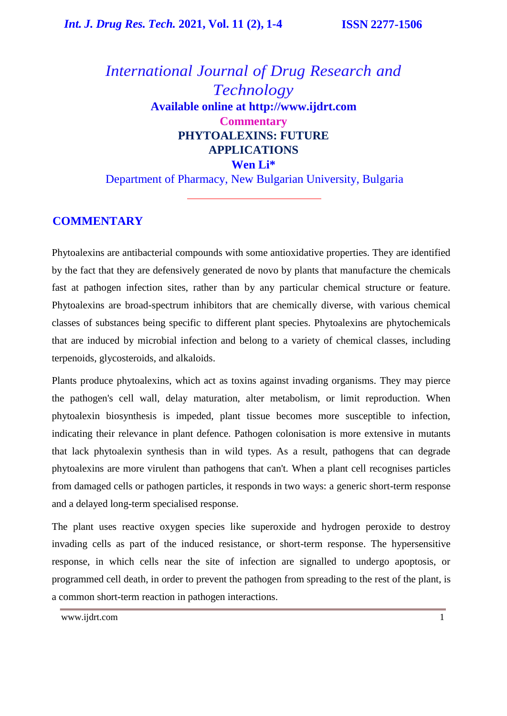*International Journal of Drug Research and Technology* **Available online at [http://www.ijdrt.com](http://www.ijdrt.com/) Commentary PHYTOALEXINS: FUTURE APPLICATIONS Wen Li\***

Department of Pharmacy, New Bulgarian University, Bulgaria

# **COMMENTARY**

Phytoalexins are antibacterial compounds with some antioxidative properties. They are identified by the fact that they are defensively generated de novo by plants that manufacture the chemicals fast at pathogen infection sites, rather than by any particular chemical structure or feature. Phytoalexins are broad-spectrum inhibitors that are chemically diverse, with various chemical classes of substances being specific to different plant species. Phytoalexins are phytochemicals that are induced by microbial infection and belong to a variety of chemical classes, including terpenoids, glycosteroids, and alkaloids.

Plants produce phytoalexins, which act as toxins against invading organisms. They may pierce the pathogen's cell wall, delay maturation, alter metabolism, or limit reproduction. When phytoalexin biosynthesis is impeded, plant tissue becomes more susceptible to infection, indicating their relevance in plant defence. Pathogen colonisation is more extensive in mutants that lack phytoalexin synthesis than in wild types. As a result, pathogens that can degrade phytoalexins are more virulent than pathogens that can't. When a plant cell recognises particles from damaged cells or pathogen particles, it responds in two ways: a generic short-term response and a delayed long-term specialised response.

The plant uses reactive oxygen species like superoxide and hydrogen peroxide to destroy invading cells as part of the induced resistance, or short-term response. The hypersensitive response, in which cells near the site of infection are signalled to undergo apoptosis, or programmed cell death, in order to prevent the pathogen from spreading to the rest of the plant, is a common short-term reaction in pathogen interactions.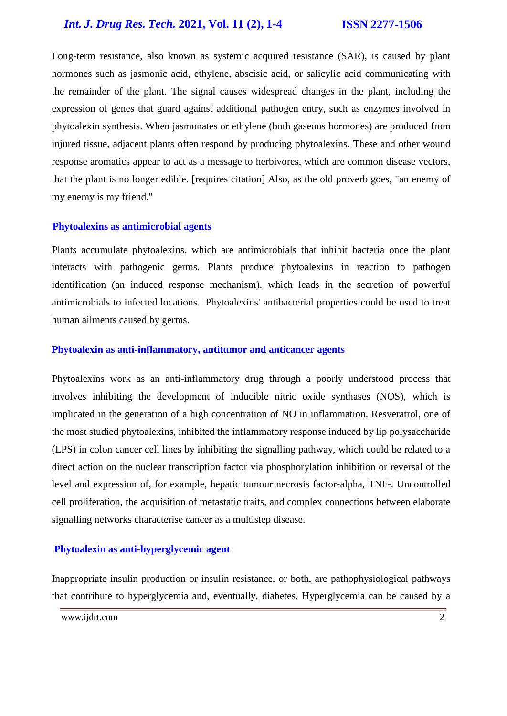# *Int. J. Drug Res. Tech.* **2021, Vol. 11 (2), 1-4 ISSN 2277-1506**

Long-term resistance, also known as systemic acquired resistance (SAR), is caused by plant hormones such as jasmonic acid, ethylene, abscisic acid, or salicylic acid communicating with the remainder of the plant. The signal causes widespread changes in the plant, including the expression of genes that guard against additional pathogen entry, such as enzymes involved in phytoalexin synthesis. When jasmonates or ethylene (both gaseous hormones) are produced from injured tissue, adjacent plants often respond by producing phytoalexins. These and other wound response aromatics appear to act as a message to herbivores, which are common disease vectors, that the plant is no longer edible. [requires citation] Also, as the old proverb goes, "an enemy of my enemy is my friend."

#### **Phytoalexins as antimicrobial agents**

Plants accumulate phytoalexins, which are antimicrobials that inhibit bacteria once the plant interacts with pathogenic germs. Plants produce phytoalexins in reaction to pathogen identification (an induced response mechanism), which leads in the secretion of powerful antimicrobials to infected locations. Phytoalexins' antibacterial properties could be used to treat human ailments caused by germs.

#### **Phytoalexin as anti-inflammatory, antitumor and anticancer agents**

Phytoalexins work as an anti-inflammatory drug through a poorly understood process that involves inhibiting the development of inducible nitric oxide synthases (NOS), which is implicated in the generation of a high concentration of NO in inflammation. Resveratrol, one of the most studied phytoalexins, inhibited the inflammatory response induced by lip polysaccharide (LPS) in colon cancer cell lines by inhibiting the signalling pathway, which could be related to a direct action on the nuclear transcription factor via phosphorylation inhibition or reversal of the level and expression of, for example, hepatic tumour necrosis factor-alpha, TNF-. Uncontrolled cell proliferation, the acquisition of metastatic traits, and complex connections between elaborate signalling networks characterise cancer as a multistep disease.

#### **Phytoalexin as anti-hyperglycemic agent**

Inappropriate insulin production or insulin resistance, or both, are pathophysiological pathways that contribute to hyperglycemia and, eventually, diabetes. Hyperglycemia can be caused by a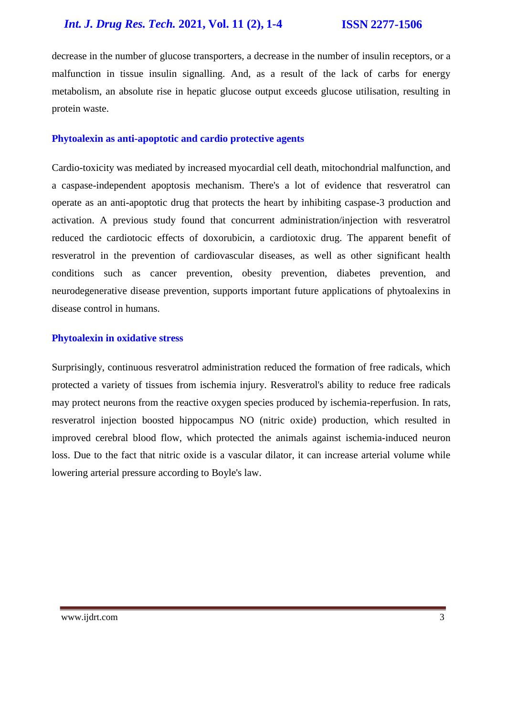decrease in the number of glucose transporters, a decrease in the number of insulin receptors, or a malfunction in tissue insulin signalling. And, as a result of the lack of carbs for energy metabolism, an absolute rise in hepatic glucose output exceeds glucose utilisation, resulting in protein waste.

## **Phytoalexin as anti-apoptotic and cardio protective agents**

Cardio-toxicity was mediated by increased myocardial cell death, mitochondrial malfunction, and a caspase-independent apoptosis mechanism. There's a lot of evidence that resveratrol can operate as an anti-apoptotic drug that protects the heart by inhibiting caspase-3 production and activation. A previous study found that concurrent administration/injection with resveratrol reduced the cardiotocic effects of doxorubicin, a cardiotoxic drug. The apparent benefit of resveratrol in the prevention of cardiovascular diseases, as well as other significant health conditions such as cancer prevention, obesity prevention, diabetes prevention, and neurodegenerative disease prevention, supports important future applications of phytoalexins in disease control in humans.

## **Phytoalexin in oxidative stress**

Surprisingly, continuous resveratrol administration reduced the formation of free radicals, which protected a variety of tissues from ischemia injury. Resveratrol's ability to reduce free radicals may protect neurons from the reactive oxygen species produced by ischemia-reperfusion. In rats, resveratrol injection boosted hippocampus NO (nitric oxide) production, which resulted in improved cerebral blood flow, which protected the animals against ischemia-induced neuron loss. Due to the fact that nitric oxide is a vascular dilator, it can increase arterial volume while lowering arterial pressure according to Boyle's law.